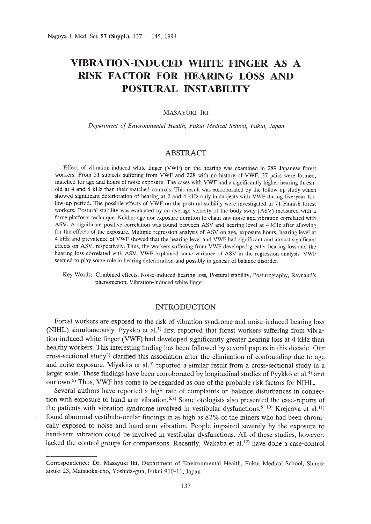# **VIBRATION-INDUCED WHITE FINGER AS A RISK FACTOR FOR HEARING LOSS AND POSTURAL INSTABILITY**

### MASAYUKI IKI

*Department of Environmental Health, Fukui Medical School, Fukui, Japan*

## ABSTRACT

Effect of vibration-induced white finger (VWF) on the hearing was examined in 289 Japanese forest workers. From 51 subjects suffering from VWF and 228 with no history of VWF, 37 pairs were formed, matched for age and hours of noise exposure. The cases with VWF had a significantly higher hearing threshold at 4 and 8 kHz than their matched controls. This result was corroborated by the follow-up study which showed significant deterioration of hearing at 2 and 4 kHz only in subjects with VWF during five-year follow-up period. The possible effects of VWF on the postural stability were investigated in 71 Finnish forest workers. Postural stability was evaluated by an average velocity of the body-sway (ASV) measured with a force platform technique. Neither age nor exposure duration to chain saw noise and vibration correlated with ASV. A significant positive correlation was found between ASV and hearing level at 4 kHz after allowing for the effects of the exposure. Multiple regression analysis of ASV on age, exposure hours, hearing level at 4 kHz and prevalence of VWF showed that the hearing level and VWF had significant and almost significant effects on ASV, respectively. Thus, the workers suffering from VWF developed greater hearing loss and the hearing loss correlated with ASV. VWF explained some variance of ASV in the regression analysis. VWF seemed to play some role in hearing deterioration and possibly in genesis of balance disorder.

Key Words: Combined effects, Noise-induced hearing loss, Postural stability, Posturography, Raynaud's phenomenon, Vibration-induced white finger

## INTRODUCTION

Forest workers are exposed to the risk of vibration syndrome and noise-induced hearing loss (NIHL) simultaneously. Pyykkö et al.<sup>1)</sup> first reported that forest workers suffering from vibration-induced white finger (VWF) had developed significantly greater hearing loss at 4 kHz than healthy workers. This interesting finding has been followed by several papers in this decade. Our cross-sectional study<sup>2)</sup> clarified this association after the elimination of confounding due to age and noise-exposure. Miyakita et al.<sup>3)</sup> reported a similar result from a cross-sectional study in a larger scale. These findings have been corroborated by longitudinal studies of Pyykkö et al.<sup>4)</sup> and our own.<sup>5)</sup> Thus, VWF has come to be regarded as one of the probable risk factors for NIHL.

Several authors have reported a high rate of complaints on balance disturbances in connection with exposure to hand-arm vibration.<sup> $6,7)$ </sup> Some otologists also presented the case-reports of the patients with vibration syndrome involved in vestibular dysfunctions. $8-10$ ) Krejcova et al.<sup>11)</sup> found abnormal vestibulo-ocular findings in as high as 82% of the miners who had been chronically exposed to noise and hand-arm vibration. People impaired severely by the exposure to hand-arm vibration could be involved in vestibular dysfunctions. All of these studies, however, lacked the control groups for comparisons. Recently, Wakaba et al.<sup>12)</sup> have done a case-control

Correspondence: Dr. Masayuki Iki, Department of Environmental Health, Fukui Medical School, Shimoaizuki 23, Matsuoka-cho, Yoshida-gun, Fukui 910-11, Japan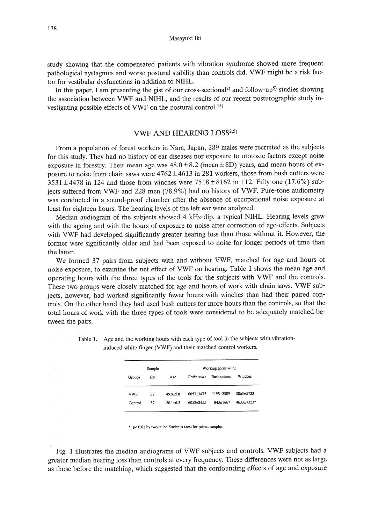Masayuki Iki

study showing that the compensated patients with vibration syndrome showed more frequent pathological nystagmus and worse postural stability than controls did. VWF might be a risk factor for vestibular dysfunctions in addition to NIHL.

In this paper, I am presenting the gist of our cross-sectional<sup>2)</sup> and follow-up<sup>5)</sup> studies showing the association between VWF and NIHL, and the results of our recent posturographic study investigating possible effects of VWF on the postural control. 13)

## VWF AND HEARING LOSS<sup>2,5)</sup>

From a population of forest workers in Nara, Japan, 289 males were recruited as the subjects for this study. They had no history of ear diseases nor exposure to ototoxic factors except noise exposure in forestry. Their mean age was  $48.0 \pm 8.2$  (mean  $\pm$  SD) years, and mean hours of exposure to noise from chain saws were  $4762 \pm 4613$  in 281 workers, those from bush cutters were  $3531 \pm 4478$  in 124 and those from winches were  $7518 \pm 8162$  in 112. Fifty-one (17.6%) subjects suffered from VWF and 228 men (78.9%) had no history of VWF. Pure-tone audiometry was conducted in a sound-proof chamber after the absence of occupational noise exposure at least for eighteen hours. The hearing levels of the left ear were analyzed.

Median audiogram of the subjects showed 4 kHz-dip, a typical NIHL. Hearing levels grew with the ageing and with the hours of exposure to noise after correction of age-effects. Subjects with VWF had developed significantly greater hearing loss than those without it. However, the former were significantly older and had been exposed to noise for longer periods of time than the latter.

We formed 37 pairs from subjects with and without VWF, matched for age and hours of noise exposure, to examine the net effect of VWF on hearing. Table 1 shows the mean age and operating hours with the three types of the tools for the subjects with VWF and the controls. These two groups were closely matched for age and hours of work with chain saws. VWF subjects, however, had worked significantly fewer hours with winches than had their paired controls. On the other hand they had used bush cutters for more hours than the controls, so that the total hours of work with the three types of tools were considered to be adequately matched between the pairs.

| Sample         |          |                              | Working hours with;    |                       |                                |
|----------------|----------|------------------------------|------------------------|-----------------------|--------------------------------|
| Groups         | size     | Age                          | Chain saws             | <b>Bush cutters</b>   | Winches                        |
| VWF<br>Control | 37<br>37 | $49.9 + 5.8$<br>$50.1 + 6.2$ | 6057+3475<br>6052+3455 | 1193+2389<br>843+1667 | 3063+5723<br>$4633 \pm 7323$ * |

Table 1. Age and the working hours with each type of tool in the subjects with vibrationinduced white finger (VWF) and their matched control workers.

': p< 0.01 by two-tailed Student's t-test for paired samples.

Fig. 1 illustrates the median audiograms of VWF subjects and controls. VWF subjects had a greater median hearing loss than controls at every frequency. These differences were not as large as those before the matching, which suggested that the confounding effects of age and exposure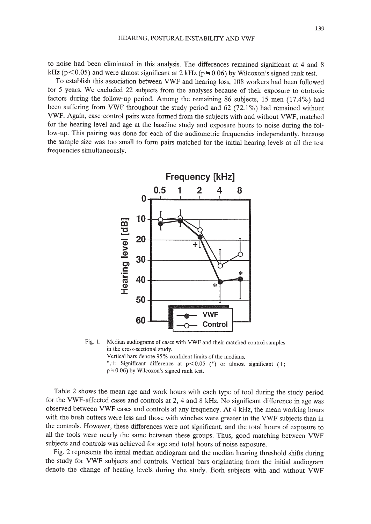to noise had been eliminated in this analysis. The differences remained significant at 4 and 8 kHz ( $p$ <0.05) and were almost significant at 2 kHz ( $p = 0.06$ ) by Wilcoxon's signed rank test.

To establish this association between VWF and hearing loss, 108 workers had been followed for 5 years. We excluded 22 subjects from the analyses because of their exposure to ototoxic factors during the follow-up period. Among the remaining 86 subjects, 15 men (17.4%) had been suffering from VWF throughout the study period and 62 (72.1%) had remained without VWF. Again, case-control pairs were formed from the subjects with and without VWF, matched for the hearing level and age at the baseline study and exposure hours to noise during the follow-up. This pairing was done for each of the audiometric frequencies independently, because the sample size was too small to form pairs matched for the initial hearing levels at all the test frequencies simultaneously.



Fig. 1. Median audiograms of cases with VWF and their matched control samples in the cross-sectional study.

Vertical bars denote 95% confident limits of the medians.

\*,+: Significant difference at  $p < 0.05$  (\*) or almost significant (+;

 $p = 0.06$ ) by Wilcoxon's signed rank test.

Table 2 shows the mean age and work hours with each type of tool during the study period for the VWF-affected cases and controls at 2, 4 and 8 kHz. No significant difference in age was observed between VWF cases and controls at any frequency. At 4 kHz, the mean working hours with the bush cutters were less and those with winches were greater in the VWF subjects than in the controls. However, these differences were not significant, and the total hours of exposure to all the tools were nearly the same between these groups. Thus, good matching between VWF subjects and controls was achieved for age and total hours of noise exposure.

Fig. 2 represents the initial median audiogram and the median hearing threshold shifts during the study for VWF subjects and controls. Vertical bars originating from the initial audiogram denote the change of heating levels during the study. Both subjects with and without VWF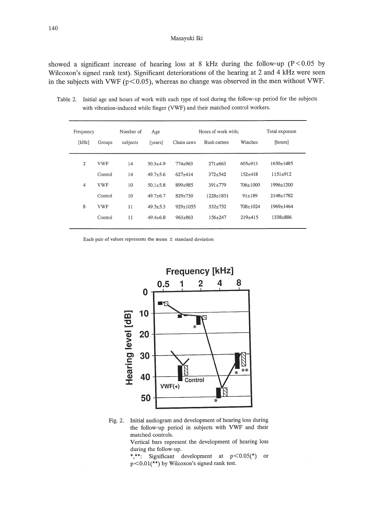#### Masayuki Iki

showed a significant increase of hearing loss at 8 kHz during the follow-up ( $P < 0.05$  by Wilcoxon's signed rank test). Significant deteriorations of the hearing at 2 and 4 kHz were seen in the subjects with VWF ( $p<0.05$ ), whereas no change was observed in the men without VWF.

Frequency Number of Age Hours of work with; Total exposure [kHz] Groups subjects [years] Chain saws Bush cutters Winches [hours] 2 VWF 14 50.3±4.9 774±963 271±663 605±913 1650±1485 Control 14 49.7±5.6 627±414 372±542 152±418 1151±912 4 VWF 10 50.1±5.8 899±985 391±779 706±IOOO 1996±1200 Control 10 49.7±6.7 829±730 1228±183I 91±189 2148±1782 8 VWF II 49.5±5.3 929±1055 332±752 708±1024 I969±I464 Control II 49.4±6.8 963±863 I56±247 219±415 I338±886

Table 2. Initial age and hours of work with each type of tool during the follow-up period for the subjects with vibration-induced while finger (VWF) and their matched control workers.

Each pair of values represents the mean  $\pm$  standard deviation



Fig. 2. Initial audiogram and development of hearing loss during the follow-up period in subjects with VWF and their matched controls.

> Vertical bars represent the development of hearing loss during the follow-up.

\*,\*\*: Significant development at  $p < 0.05$ (\*) or p<O.Ol(\*\*) by Wilcoxon's signed rank test.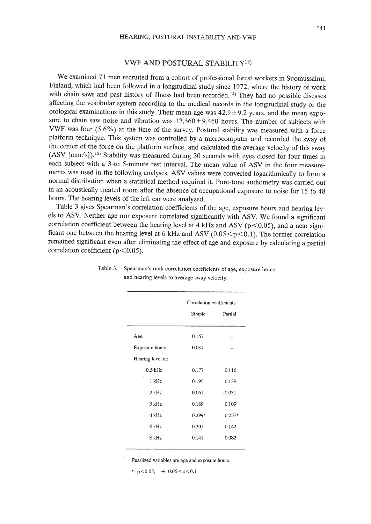#### VWF AND POSTURAL STABILITy13)

We examined 71 men recruited from a cohort of professional forest workers in Suomussalmi, Finland, which had been followed in a longitudinal study since 1972, where the history of work with chain saws and past history of illness had been recorded.<sup>14</sup> They had no possible diseases affecting the vestibular system according to the medical records in the longitudinal study or the otological examinations in this study. Their mean age was  $42.9 \pm 9.2$  years, and the mean exposure to chain saw noise and vibration was  $12,360 \pm 9,460$  hours. The number of subjects with VWF was four (5.6%) at the time of the survey. Postural stability was measured with a force platform technique. This system was controlled by a microcomputer and recorded the sway of the center of the force on the platform surface, and calculated the average velocity of this sway (ASV [mm/s]).15) Stability was measured during 30 seconds with eyes closed for four times in each subject with a 3-to 5-minute rest interval. The mean value of ASV in the four measurements was used in the following analyses. ASV values were converted logarithmically to form a normal distribution when a statistical method required it. Pure-tone audiometry was carried out in an acoustically treated room after the absence of occupational exposure to noise for 15 to 48 hours. The hearing levels of the left ear were analyzed.

Table 3 gives Spearman's correlation coefficients of the age, exposure hours and hearing levels to ASV. Neither age nor exposure correlated significantly with ASV. We found a significant correlation coefficient between the hearing level at 4 kHz and ASV ( $p$ <0.05), and a near significant one between the hearing level at 6 kHz and ASV ( $0.05 < p < 0.1$ ). The former correlation remained significant even after eliminating the effect of age and exposure by calculating a partial correlation coefficient ( $p<0.05$ ).

|                   | Correlation coefficients |          |
|-------------------|--------------------------|----------|
|                   | Simple                   | Partial  |
| Age               | 0.157                    |          |
| Exposure hours    | 0.037                    |          |
| Hearing level at; |                          |          |
| $0.5$ kHz         | 0.177                    | 0.116    |
| 1 kHz             | 0.195                    | 0.138    |
| $2$ kHz           | 0.061                    | $-0.031$ |
| 3 kHz             | 0.169                    | 0.109    |
| 4 kHz             | 0.299*                   | $0.257*$ |
| 6 kHz             | $0.201+$                 | 0.142    |
| 8 kHz             | 0.141                    | 0.082    |
|                   |                          |          |

Table 3. Spearman's rank correlation coefficients of age, exposure hours and hearing levels to average sway velocity.

Pearlized variables are age and exposure hours.

\*:  $p < 0.05$ , +:  $0.05 < p < 0.1$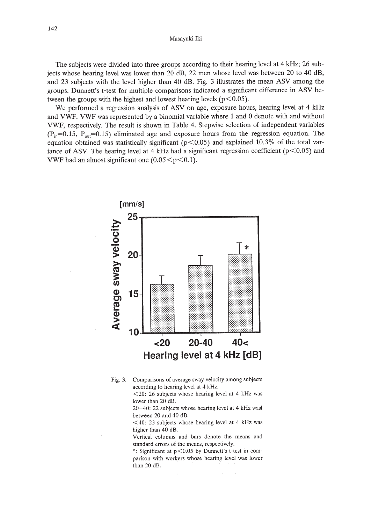The subjects were divided into three groups according to their hearing level at 4 kHz; 26 subjects whose hearing level was lower than 20 dB, 22 men whose level was between 20 to 40 dB, and 23 subjects with the level higher than 40 dB. Fig. 3 illustrates the mean ASV among the groups. Dunnett's t-test for multiple comparisons indicated a significant difference in ASV between the groups with the highest and lowest hearing levels ( $p<0.05$ ).

We performed a regression analysis of ASV on age, exposure hours, hearing level at 4 kHz and VWF. VWF was represented by a binomial variable where 1 and 0 denote with and without VWF, respectively. The result is shown in Table 4. Stepwise selection of independent variables  $(P_{in}=0.15, P_{out}=0.15)$  eliminated age and exposure hours from the regression equation. The equation obtained was statistically significant ( $p<0.05$ ) and explained 10.3% of the total variance of ASV. The hearing level at 4 kHz had a significant regression coefficient ( $p$ <0.05) and VWF had an almost significant one  $(0.05 \le p \le 0.1)$ .



Fig. 3. Comparisons of average sway velocity among subjects according to hearing level at 4 kHz.

<20: 26 subjects whose hearing level at 4 kHz was lower than 20 dB.

20-40: 22 subjects whose hearing level at 4 kHz wasl between 20 and 40 dB.

 $\leq$ 40: 23 subjects whose hearing level at 4 kHz was higher than 40 dB.

Vertical columns and bars denote the means and standard errors of the means, respectively.

\*: Significant at p<0.05 by Dunnett's t-test in comparison with workers whose hearing level was lower than 20 dB.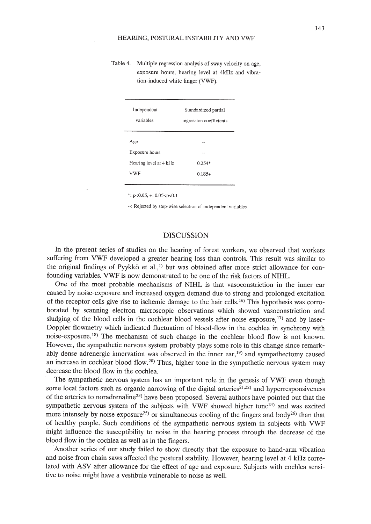Table 4. Multiple regression analysis of sway velocity on age, exposure hours, hearing level at 4kHz and vibration-induced white finger (VWF).

| Independent<br>variables | Standardized partial<br>regression coefficients |  |
|--------------------------|-------------------------------------------------|--|
| Age                      |                                                 |  |
| Exposure hours           |                                                 |  |
| Hearing level at 4 kHz   | $0.254*$                                        |  |
| <b>VWF</b>               | $0.185+$                                        |  |
|                          |                                                 |  |

 $*$ : p<0.05, +: 0.05<p<0.1

..: Rejected by step-wise selection of independent variables.

## DISCUSSION

**In** the present series of studies on the hearing of forest workers, we observed that workers suffering from VWF developed a greater hearing loss than controls. This result was similar to the original findings of Pyykkö et al.,<sup>1)</sup> but was obtained after more strict allowance for confounding variables. VWF is now demonstrated to be one of the risk factors of NIHL.

One of the most probable mechanisms of NIHL is that vasoconstriction in the inner ear caused by noise-exposure and increased oxygen demand due to strong and prolonged excitation of the receptor cells give rise to ischemic damage to the hair cells.<sup>16)</sup> This hypothesis was corroborated by scanning electron microscopic observations which showed vasoconstriction and sludging of the blood cells in the cochlear blood vessels after noise exposure, $17$ ) and by laser-Doppler flowmetry which indicated fluctuation of blood-flow in the cochlea in synchrony with noise-exposure.18) The mechanism of such change in the cochlear blood flow is not known. However, the sympathetic nervous system probably plays some role in this change since remarkably dense adrenergic innervation was observed in the inner ear,19) and sympathectomy caused an increase in cochlear blood flow.<sup>20)</sup> Thus, higher tone in the sympathetic nervous system may decrease the blood flow in the cochlea.

The sympathetic nervous system has an important role in the genesis of VWF even though some local factors such as organic narrowing of the digital arteries<sup>21,22</sup> and hyperresponsiveness of the arteries to noradrenaline<sup>23)</sup> have been proposed. Several authors have pointed out that the sympathetic nervous system of the subjects with VWF showed higher tone $24$ ) and was excited more intensely by noise exposure<sup>25</sup> or simultaneous cooling of the fingers and body<sup>26</sup> than that of healthy people. Such conditions of the sympathetic nervous system in subjects with VWF might influence the susceptibility to noise in the hearing process through the decrease of the blood flow in the cochlea as well as in the fingers.

Another series of our study failed to show directly that the exposure to hand-arm vibration and noise from chain saws affected the postural stability. However, hearing level at 4 kHz correlated with ASV after allowance for the effect of age and exposure. Subjects with cochlea sensitive to noise might have a vestibule vulnerable to noise as well.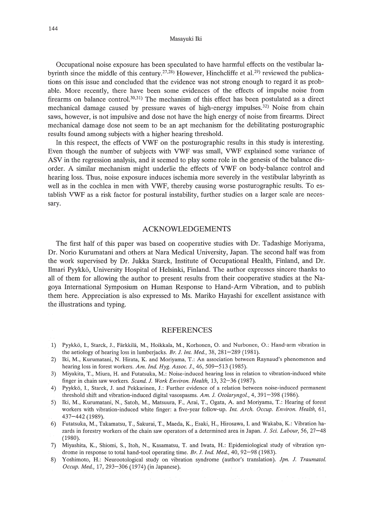#### Masayuki Iki

Occupational noise exposure has been speculated to have harmful effects on the vestibular labyrinth since the middle of this century,  $27,28$ ) However, Hinchcliffe et al.  $29$ ) reviewed the publications on this issue and concluded that the evidence was not strong enough to regard it as probable. More recently, there have been some evidences of the effects of impulse noise from firearms on balance contro1.30,31) The mechanism of this effect has been postulated as a direct mechanical damage caused by pressure waves of high-energy impulses.<sup>32)</sup> Noise from chain saws, however, is not impulsive and dose not have the high energy of noise from firearms. Direct mechanical damage dose not seem to be an apt mechanism for the debilitating posturographic results found among subjects with a higher hearing threshold.

In this respect, the effects of VWF on the posturographic results in this study is interesting. Even though the number of subjects with VWF was small, VWF explained some variance of ASV in the regression analysis, and it seemed to play some role in the genesis of the balance disorder. A similar mechanism might underlie the effects of VWF on body-balance control and hearing loss. Thus, noise exposure induces ischemia more severely in the vestibular labyrinth as well as in the cochlea in men with VWF, thereby causing worse posturographic results. To establish VWF as a risk factor for postural instability, further studies on a larger scale are necessary.

### ACKNOWLEDGEMENTS

The first half of this paper was based on cooperative studies with Dr. Tadashige Moriyama, Dr. Norio Kurumatani and others at Nara Medical University, Japan. The second half was from the work supervised by Dr. Jukka Starck, Institute of Occupational Health, Finland, and Dr. Ilmari Pyykko, University Hospital of Helsinki, Finland. The author expresses sincere thanks to all of them for allowing the author to present results from their cooperative studies at the Nagoya International Symposium on Human Response to Hand-Arm Vibration, and to publish them here. Appreciation is also expressed to Ms. Mariko Hayashi for excellent assistance with the illustrations and typing.

#### REFERENCES

- 1) Pyykkö, I., Starck, J., Färkkilä, M., Hoikkala, M., Korhonen, O. and Nurbonen, O.: Hand-arm vibration in the aetiology of hearing loss in lumberjacks. *Br. J. Int. Med.,* 38, 281-289 (1981).
- 2) Iki, M., Kurumatani, N. Hirata, K. and Moriyama, T.: An association between Raynaud's phenomenon and hearing loss in forest workers. *Am. Ind. Hyg. Assoc. J.,* 46, 509-513 (1985).
- 3) Miyakita, T., Miura, H. and Futatsuka, M.: Noise-induced hearing loss in relation to vibration-induced white finger in chain saw workers. *Scand. J. Work Environ. Health,* 13,32-36 (1987).
- 4) Pyykkö, I., Starck, J. and Pekkarinen, J.: Further evidence of a relation between noise-induced permanent threshold shift and vibration-induced digital vasospasms. *Am.* 1. *Otolaryngol.,* 4, 391-398 (1986).
- 5) Iki, M., Kurumatani, N., Satoh, M., Matsuura, F., Arai, T., Ogata, A. and Moriyama, T: Hearing of forest workers with vibration-induced white finger: a five-year follow-up. *Int. Arch. Occup. Environ. Health, 61,* 437-442 (1989).
- 6) Futatsuka, M., Takamatsu, T, Sakurai, T, Maeda, K., Esaki, H., Hirosawa, 1. and Wakaba, K.: Vibration hazards in forestry workers of the chain saw operators of a determined area in Japan. *J. Sci. Labour,* 56, 27-48 (1980).
- 7) Miyashita, K., Shiomi, S., Itoh, N., Kasamatsu, T. and Iwata, H.: Epidemiological study of vibration syndrome in response to total hand-tool operating time. *Br. J. Ind. Med.,* 40, 92-98 (1983).
- 8) Yoshimoto, H.: Neurootological study on vibration syndrome (author's translation). *Jpn.* 1. *Traumatol. Occup. Med.,* 17,293-306 (1974) (in Japanese).